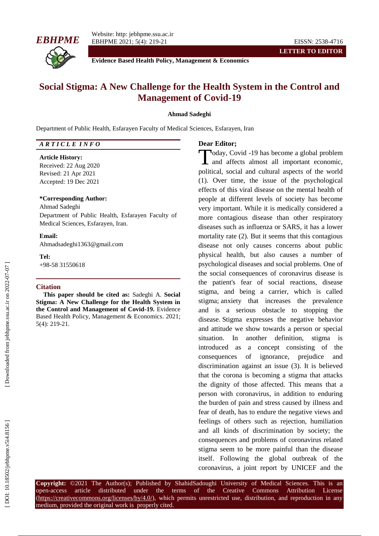



**Evidence Based Health Policy, Management & Economics**

# **Social Stigma : A New Challenge for the Health System in the Control and Management of Covid -19**

### **Ahmad Sadeghi**

Department of Public Health, Esfarayen Faculty of Medical Sciences, Esfarayen, Iran

## *A R T I C L E I N F O*

#### **Article History:**

Received: 22 Aug 2020 Revised: 21 Apr 202 1 Accepted: 19 Dec 202 1

#### **\*Corresponding Author:**

Ahmad Sadeghi Department of Public Health, Esfarayen Faculty of Medical Sciences, Esfarayen, Iran .

**Email:**

Ahmadsadeghi1363@gmail.com

**Tel:** +98 -58 31550618

#### **Citation**

**This paper should be cited as:** Sadeghi A . **Social Stigma: A New Challenge for the Health System in the Control and Management of Covid -19 .** Evidence Based Health Policy, Management & Economics. 202 1; 5(4): 219 -21 .

## **Dear Editor;**

oday, Covid -19 has become a global problem and affects almost all important economic, political, social and cultural aspects of the world (1). Over time, the issue of the psychological effects of this viral disease on the mental health of people at different levels of society has become very important. While it is medically considered a more contagious disease than other respiratory diseases such as influenza or SARS, it has a lower mortality rate (2). But it seems that this contagious disease not only causes concerns about public physical health, but also causes a number of psychological diseases and social problems. One of the social consequences of coronavirus disease is the patient's fear of social reactions, disease stigma, and being a carrier, which is called stigma; anxiety that increases the prevalence and is a serious obstacle to stopping the disease. Stigma expresses the negative behavior and attitude we show towards a person or special situation. In another definition, stigma is introduced as a concept consisting of the consequences of ignorance, prejudice and discrimination against an issue (3). It is believed that the corona is becoming a stigma that attacks the dignity of those affected. This means that a person with coronavirus, in addition to enduring the burden of pain and stress caused by illness and fear of death, has to endure the negative views and feelings of others such as rejection, humiliation and all kinds of discrimination by society; the consequences and problems of coronavirus related stigma seem to be more painful than the disease itself. Following the global outbreak of the Today, Covid -19 has become a global problem<br>
and affects almost all important economic,<br>
political, social and cultural aspects of the world<br>
(1). Over time, the issue of the psychological<br>
effects of this viral disease o

**Copyright:** ©202 1 The Author(s); Published by ShahidSadoughi University of Medical Sciences. This is an open-access -access article distributed under the terms of the Creative Commons Attribution License (https://creativecommons.org/licenses/by/4.0/), which permits unrestricted use, distribution, and reproduction in any medium, provided the original work is properly cited.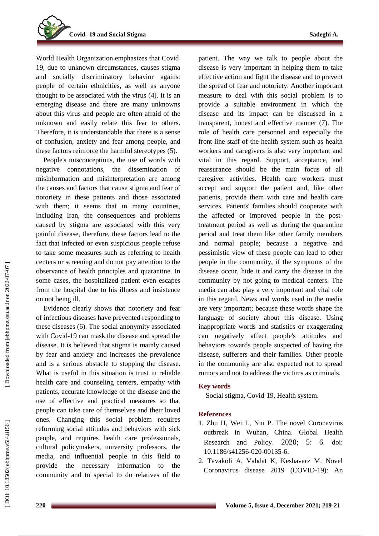World Health Organization emphasizes that Covid - 19, due to unknown circumstances, causes stigma and socially discriminatory behavior against people of certain ethnicities, as well as anyone thought to be associated with the virus (4). It is an emerging disease and there are many unknowns about this virus and people are often afraid of the unknown and easily relate this fear to others. Therefore, it is understandable that there is a sense of confusion, anxiety and fear among people, and these factors reinforce the harmful stereotypes (5).

People's misconceptions, the use of words with negative connotations, the dissemination of misinformation and misinterpretation are among the causes and factors that cause stigma and fear of notoriety in these patients and those associated with them; it seems that in many countries, including Iran, the consequences and problems caused by stigma are associated with this very painful disease, therefore, these factors lead to the fact that infected or even suspicious people refuse to take some measures such as referring to health centers or screening and do not pay attention to the observance of health principles and quarantine. In some cases, the hospitalized patient even escapes from the hospital due to his illness and insistence on not being ill.

Evidence clearly shows that notoriety and fear of infectious diseases have prevented responding to these diseases (6). The social anonymity associated with Covid -19 can mask the disease and spread the disease. It is believed that stigma is mainly caused by fear and anxiety and increases the prevalence and is a serious obstacle to stopping the disease. What is useful in this situation is trust in reliable health care and counseling centers, empathy with patients, accurate knowledge of the disease and the use of effective and practical measures so that people can take care of themselves and their loved ones. Changing this social problem requires reforming social attitudes and behaviors with sick people, and requires health care professionals, cultural policymakers, university professors, the media, and influential people in this field to provide the necessary information to community and to special to do relatives of the patient. The way we talk to people about the disease is very important in helping them to take effective action and fight the disease and to prevent the spread of fear and notoriety. Another important measure to deal with this social problem is to provide a suitable environment in which the disease and its impact can be discussed in a transparent, honest and effective manner (7). The role of health care personnel and especially the front line staff of the health system such as health workers and caregivers is also very important and vital in this regard. Support, acceptance, and reassurance should be the main focus of all caregiver activities. Health care workers must

accept and support the patient and, like other patients, provide them with care and health care services. Patients' families should cooperate with the affected or improved people in the post treatment period as well as during the quarantine period and treat them like other family members and normal people; because a negative and pessimistic view of these people can lead to other people in the community, if the symptoms of the disease occur, hide it and carry the disease in the community by not going to medical centers. The media can also play a very important and vital role in this regard. News and words used in the media are very important; because these words shape the language of society about this disease. Using inappropriate words and statistics or exaggerating can negatively affect people's attitudes and behaviors towards people suspected of having the disease, sufferers and their families. Other people in the community are also expected not to spread rumors and not to address the victims as criminals.

## **Key words**

Social stigma, Covid -19, Health system .

# **References**

- 1. Zhu H, Wei L, Niu P. The novel Coronavirus outbreak in Wuhan, China. Global Health Research and Policy. 2020; 5: 6. doi: 10.1186/s41256-020-00135-6.
- 2. Tavakoli A, Vahdat K, Keshavarz M. Novel Coronavirus disease 2019 (COVID -19): An